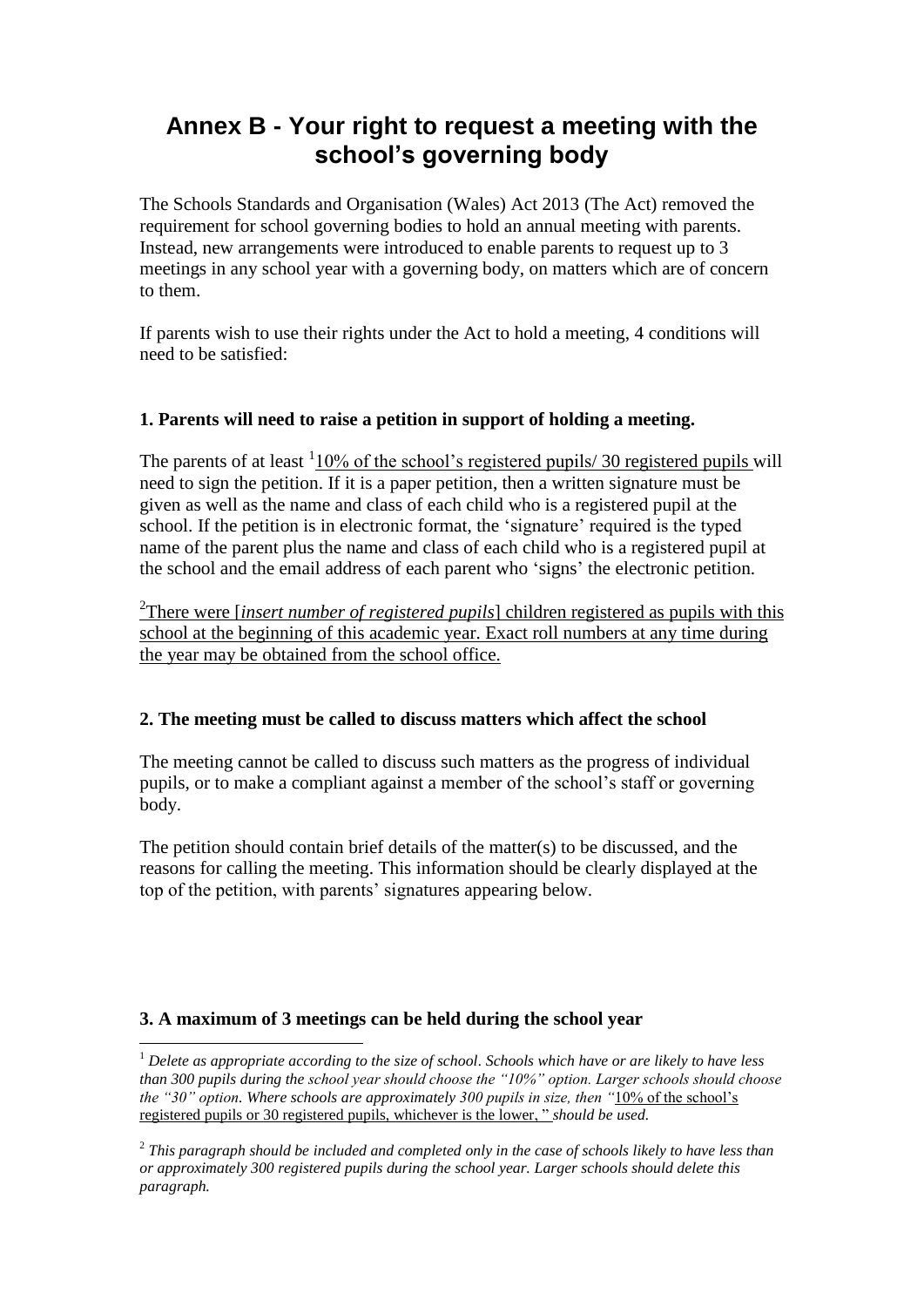# **Annex B - Your right to request a meeting with the school's governing body**

The Schools Standards and Organisation (Wales) Act 2013 (The Act) removed the requirement for school governing bodies to hold an annual meeting with parents. Instead, new arrangements were introduced to enable parents to request up to 3 meetings in any school year with a governing body, on matters which are of concern to them.

If parents wish to use their rights under the Act to hold a meeting, 4 conditions will need to be satisfied:

#### **1. Parents will need to raise a petition in support of holding a meeting.**

The parents of at least  $1/10\%$  of the school's registered pupils/ 30 registered pupils will need to sign the petition. If it is a paper petition, then a written signature must be given as well as the name and class of each child who is a registered pupil at the school. If the petition is in electronic format, the 'signature' required is the typed name of the parent plus the name and class of each child who is a registered pupil at the school and the email address of each parent who 'signs' the electronic petition.

2 There were [*insert number of registered pupils*] children registered as pupils with this school at the beginning of this academic year. Exact roll numbers at any time during the year may be obtained from the school office.

## **2. The meeting must be called to discuss matters which affect the school**

The meeting cannot be called to discuss such matters as the progress of individual pupils, or to make a compliant against a member of the school's staff or governing body.

The petition should contain brief details of the matter(s) to be discussed, and the reasons for calling the meeting. This information should be clearly displayed at the top of the petition, with parents' signatures appearing below.

## **3. A maximum of 3 meetings can be held during the school year**

1

<sup>1</sup> *Delete as appropriate according to the size of school. Schools which have or are likely to have less than 300 pupils during the school year should choose the "10%" option. Larger schools should choose the "30" option. Where schools are approximately 300 pupils in size, then "*10% of the school's registered pupils or 30 registered pupils, whichever is the lower, " *should be used.*

<sup>2</sup> *This paragraph should be included and completed only in the case of schools likely to have less than or approximately 300 registered pupils during the school year. Larger schools should delete this paragraph.*